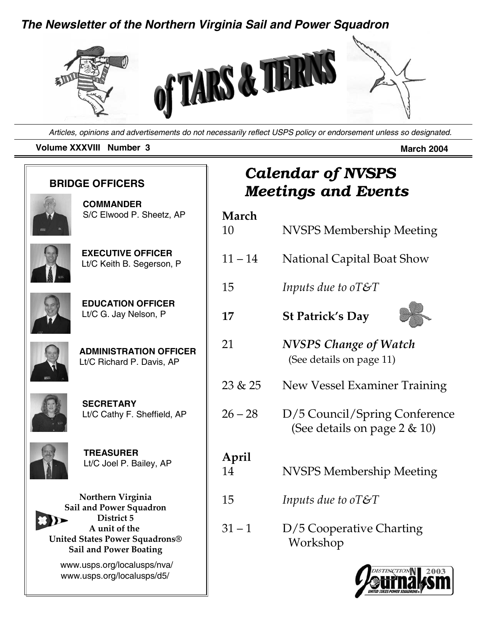### *The Newsletter of the Northern Virginia Sail and Power Squadron*

╖



*Articles, opinions and advertisements do not necessarily reflect USPS policy or endorsement unless so designated.*

#### **Volume XXXVIII Number 3** March 2004

 $\mathbb{F}$ 

| <b>BRIDGE OFFICERS</b>                                                                                                                                                                                             |  | <b>Calendar of NVSPS</b><br><b>Meetings and Events</b>     |                                      |                                                               |
|--------------------------------------------------------------------------------------------------------------------------------------------------------------------------------------------------------------------|--|------------------------------------------------------------|--------------------------------------|---------------------------------------------------------------|
|                                                                                                                                                                                                                    |  | <b>COMMANDER</b><br>S/C Elwood P. Sheetz, AP               | March<br>10                          | NVSPS Membership Meeting                                      |
|                                                                                                                                                                                                                    |  | <b>EXECUTIVE OFFICER</b><br>Lt/C Keith B. Segerson, P      | $11 - 14$                            | National Capital Boat Show                                    |
|                                                                                                                                                                                                                    |  |                                                            | 15                                   | Inputs due to $oT\mathcal{E}T$                                |
|                                                                                                                                                                                                                    |  | <b>EDUCATION OFFICER</b><br>Lt/C G. Jay Nelson, P          | 17                                   | <b>St Patrick's Day</b>                                       |
|                                                                                                                                                                                                                    |  | <b>ADMINISTRATION OFFICER</b><br>Lt/C Richard P. Davis, AP | 21                                   | <b>NVSPS Change of Watch</b><br>(See details on page 11)      |
|                                                                                                                                                                                                                    |  |                                                            | 23 & 25                              | New Vessel Examiner Training                                  |
|                                                                                                                                                                                                                    |  | <b>SECRETARY</b><br>Lt/C Cathy F. Sheffield, AP            | $26 - 28$                            | D/5 Council/Spring Conference<br>(See details on page 2 & 10) |
|                                                                                                                                                                                                                    |  | <b>TREASURER</b><br>Lt/C Joel P. Bailey, AP                | April<br>14                          | NVSPS Membership Meeting                                      |
| Northern Virginia<br>Sail and Power Squadron<br>District 5<br>A unit of the<br><b>United States Power Squadrons®</b><br><b>Sail and Power Boating</b><br>www.usps.org/localusps/nva/<br>www.usps.org/localusps/d5/ |  | 15                                                         | Inputs due to $oT\mathcal{E}T$       |                                                               |
|                                                                                                                                                                                                                    |  | $31 - 1$                                                   | D/5 Cooperative Charting<br>Workshop |                                                               |
|                                                                                                                                                                                                                    |  |                                                            | <i><b>ISTINCTION</b></i>             |                                                               |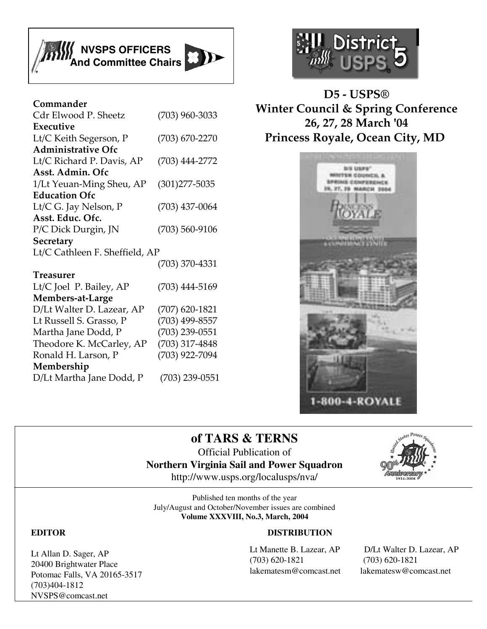

| Commander                      |                    |  |  |  |  |  |
|--------------------------------|--------------------|--|--|--|--|--|
| Cdr Elwood P. Sheetz           | $(703)$ 960-3033   |  |  |  |  |  |
| Executive                      |                    |  |  |  |  |  |
| Lt/C Keith Segerson, P         | (703) 670-2270     |  |  |  |  |  |
| <b>Administrative Ofc</b>      |                    |  |  |  |  |  |
| Lt/C Richard P. Davis, AP      | (703) 444-2772     |  |  |  |  |  |
| Asst. Admin. Ofc               |                    |  |  |  |  |  |
| 1/Lt Yeuan-Ming Sheu, AP       | $(301)$ 277-5035   |  |  |  |  |  |
| <b>Education Ofc</b>           |                    |  |  |  |  |  |
| Lt/C G. Jay Nelson, P          | $(703)$ 437-0064   |  |  |  |  |  |
| Asst. Educ. Ofc.               |                    |  |  |  |  |  |
| P/C Dick Durgin, JN            | $(703) 560 - 9106$ |  |  |  |  |  |
| Secretary                      |                    |  |  |  |  |  |
| Lt/C Cathleen F. Sheffield, AP |                    |  |  |  |  |  |
|                                | $(703)$ 370-4331   |  |  |  |  |  |
| <b>Treasurer</b>               |                    |  |  |  |  |  |
| Lt/C Joel P. Bailey, AP        | $(703)$ 444-5169   |  |  |  |  |  |
| Members-at-Large               |                    |  |  |  |  |  |
| D/Lt Walter D. Lazear, AP      | $(707)$ 620-1821   |  |  |  |  |  |
| Lt Russell S. Grasso, P        | (703) 499-8557     |  |  |  |  |  |
| Martha Jane Dodd, P            | $(703)$ 239-0551   |  |  |  |  |  |
| Theodore K. McCarley, AP       | (703) 317-4848     |  |  |  |  |  |
| Ronald H. Larson, P            | (703) 922-7094     |  |  |  |  |  |
| Membership                     |                    |  |  |  |  |  |
| D/Lt Martha Jane Dodd, P       | $(703)$ 239-0551   |  |  |  |  |  |



**D5 - USPS® Winter Council & Spring Conference 26, 27, 28 March '04 Princess Royale, Ocean City, MD** 



### **of TARS & TERNS**

Official Publication of **Northern Virginia Sail and Power Squadron** http://www.usps.org/localusps/nva/



Published ten months of the year July/August and October/November issues are combined **Volume XXXVIII, No.3, March, 2004**

#### **EDITOR**

Lt Allan D. Sager, AP 20400 Brightwater Place Potomac Falls, VA 20165-3517 (703)404-1812 NVSPS@comcast.net

#### **DISTRIBUTION**

Lt Manette B. Lazear, AP D/Lt Walter D. Lazear, AP (703) 620-1821 (703) 620-1821 lakematesm@comcast.net lakematesw@comcast.net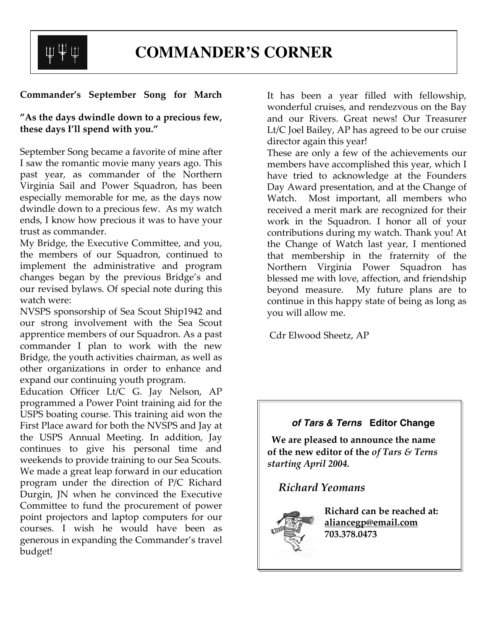

#### **Commander's September Song for March**

#### **"As the days dwindle down to a precious few, these days I'll spend with you."**

September Song became a favorite of mine after I saw the romantic movie many years ago. This past year, as commander of the Northern Virginia Sail and Power Squadron, has been especially memorable for me, as the days now dwindle down to a precious few. As my watch ends, I know how precious it was to have your trust as commander.

My Bridge, the Executive Committee, and you, the members of our Squadron, continued to implement the administrative and program changes began by the previous Bridge's and our revised bylaws. Of special note during this watch were:

NVSPS sponsorship of Sea Scout Ship1942 and our strong involvement with the Sea Scout apprentice members of our Squadron. As a past commander I plan to work with the new Bridge, the youth activities chairman, as well as other organizations in order to enhance and expand our continuing youth program.

Education Officer Lt/C G. Jay Nelson, AP programmed a Power Point training aid for the USPS boating course. This training aid won the First Place award for both the NVSPS and Jay at the USPS Annual Meeting. In addition, Jay continues to give his personal time and weekends to provide training to our Sea Scouts. We made a great leap forward in our education program under the direction of P/C Richard Durgin, JN when he convinced the Executive Committee to fund the procurement of power point projectors and laptop computers for our courses. I wish he would have been as generous in expanding the Commander's travel budget!

It has been a year filled with fellowship, wonderful cruises, and rendezvous on the Bay and our Rivers. Great news! Our Treasurer Lt/C Joel Bailey, AP has agreed to be our cruise director again this year!

These are only a few of the achievements our members have accomplished this year, which I have tried to acknowledge at the Founders Day Award presentation, and at the Change of Watch. Most important, all members who received a merit mark are recognized for their work in the Squadron. I honor all of your contributions during my watch. Thank you! At the Change of Watch last year, I mentioned that membership in the fraternity of the Northern Virginia Power Squadron has blessed me with love, affection, and friendship beyond measure. My future plans are to continue in this happy state of being as long as you will allow me.

Cdr Elwood Sheetz, AP

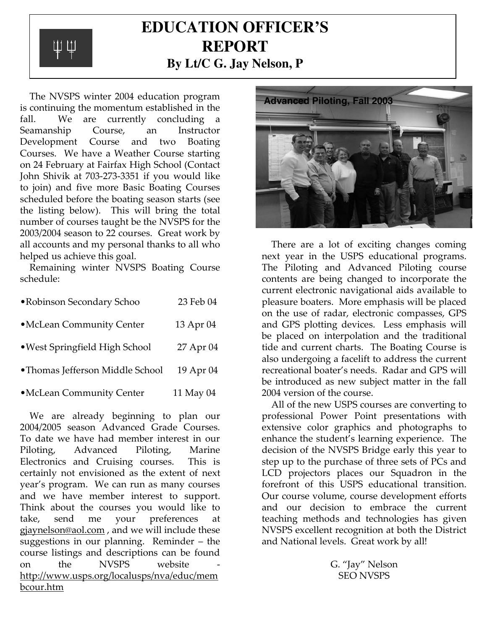

### **EDUCATION OFFICER'S REPORT By Lt/C G. Jay Nelson, P**

The NVSPS winter 2004 education program<br>**Advanced Piloting, Fall 2003** is continuing the momentum established in the fall. We are currently concluding Seamanship Course, an Instructor Development Course and two Boating Courses. We have a Weather Course starting on 24 February at Fairfax High School (Contact John Shivik at 703-273-3351 if you would like to join) and five more Basic Boating Courses scheduled before the boating season starts (see the listing below). This will bring the total number of courses taught be the NVSPS for the 2003/2004 season to 22 courses. Great work by all accounts and my personal thanks to all who helped us achieve this goal.

Remaining winter NVSPS Boating Course schedule:

| • Robinson Secondary Schoo       | 23 Feb 04 |
|----------------------------------|-----------|
| • McLean Community Center        | 13 Apr 04 |
| • West Springfield High School   | 27 Apr 04 |
| • Thomas Jefferson Middle School | 19 Apr 04 |
| ·McLean Community Center         | 11 May 04 |

We are already beginning to plan our 2004/2005 season Advanced Grade Courses. To date we have had member interest in our Piloting, Advanced Piloting, Marine Electronics and Cruising courses. This is certainly not envisioned as the extent of next year's program. We can run as many courses and we have member interest to support. Think about the courses you would like to take, send me your preferences at gjaynelson@aol.com , and we will include these suggestions in our planning. Reminder – the course listings and descriptions can be found on the NVSPS website http://www.usps.org/localusps/nva/educ/mem bcour.htm



There are a lot of exciting changes coming next year in the USPS educational programs. The Piloting and Advanced Piloting course contents are being changed to incorporate the current electronic navigational aids available to pleasure boaters. More emphasis will be placed on the use of radar, electronic compasses, GPS and GPS plotting devices. Less emphasis will be placed on interpolation and the traditional tide and current charts. The Boating Course is also undergoing a facelift to address the current recreational boater's needs. Radar and GPS will be introduced as new subject matter in the fall 2004 version of the course.

All of the new USPS courses are converting to professional Power Point presentations with extensive color graphics and photographs to enhance the student's learning experience. The decision of the NVSPS Bridge early this year to step up to the purchase of three sets of PCs and LCD projectors places our Squadron in the forefront of this USPS educational transition. Our course volume, course development efforts and our decision to embrace the current teaching methods and technologies has given NVSPS excellent recognition at both the District and National levels. Great work by all!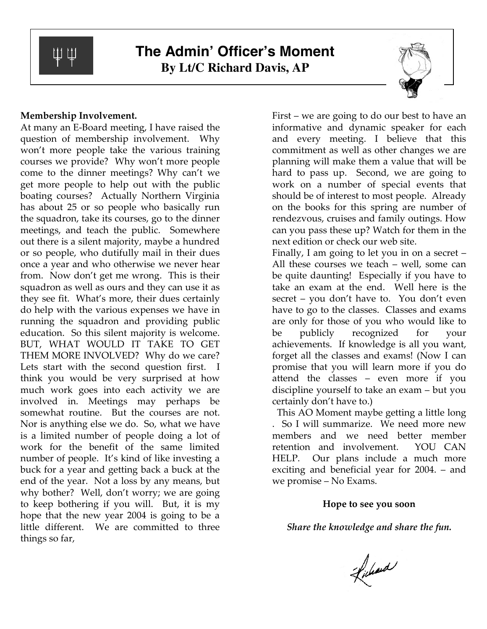ΨΨ

### **The Admin' Officer's Moment By Lt/C Richard Davis, AP**



#### **Membership Involvement.**

At many an E-Board meeting, I have raised the question of membership involvement. Why won't more people take the various training courses we provide? Why won't more people come to the dinner meetings? Why can't we get more people to help out with the public boating courses? Actually Northern Virginia has about 25 or so people who basically run the squadron, take its courses, go to the dinner meetings, and teach the public. Somewhere out there is a silent majority, maybe a hundred or so people, who dutifully mail in their dues once a year and who otherwise we never hear from. Now don't get me wrong. This is their squadron as well as ours and they can use it as they see fit. What's more, their dues certainly do help with the various expenses we have in running the squadron and providing public education. So this silent majority is welcome. BUT, WHAT WOULD IT TAKE TO GET THEM MORE INVOLVED? Why do we care? Lets start with the second question first. I think you would be very surprised at how much work goes into each activity we are involved in. Meetings may perhaps be somewhat routine. But the courses are not. Nor is anything else we do. So, what we have is a limited number of people doing a lot of work for the benefit of the same limited number of people. It's kind of like investing a buck for a year and getting back a buck at the end of the year. Not a loss by any means, but why bother? Well, don't worry; we are going to keep bothering if you will. But, it is my hope that the new year 2004 is going to be a little different. We are committed to three things so far,

First – we are going to do our best to have an informative and dynamic speaker for each and every meeting. I believe that this commitment as well as other changes we are planning will make them a value that will be hard to pass up. Second, we are going to work on a number of special events that should be of interest to most people. Already on the books for this spring are number of rendezvous, cruises and family outings. How can you pass these up? Watch for them in the next edition or check our web site.

Finally, I am going to let you in on a secret – All these courses we teach – well, some can be quite daunting! Especially if you have to take an exam at the end. Well here is the secret – you don't have to. You don't even have to go to the classes. Classes and exams are only for those of you who would like to be publicly recognized for your achievements. If knowledge is all you want, forget all the classes and exams! (Now I can promise that you will learn more if you do attend the classes – even more if you discipline yourself to take an exam – but you certainly don't have to.)

This AO Moment maybe getting a little long . So I will summarize. We need more new members and we need better member retention and involvement. YOU CAN HELP. Our plans include a much more exciting and beneficial year for 2004. – and we promise – No Exams.

#### **Hope to see you soon**

*Share the knowledge and share the fun.*

Lidward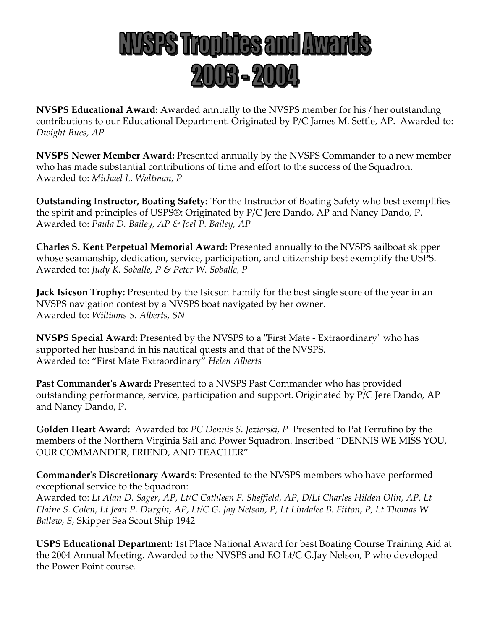# **WISPS Trophies and Awards** 2008-2004

**NVSPS Educational Award:** Awarded annually to the NVSPS member for his / her outstanding contributions to our Educational Department. Originated by P/C James M. Settle, AP. Awarded to: *Dwight Bues, AP* 

**NVSPS Newer Member Award:** Presented annually by the NVSPS Commander to a new member who has made substantial contributions of time and effort to the success of the Squadron. Awarded to: *Michael L. Waltman, P*

**Outstanding Instructor, Boating Safety:** 'For the Instructor of Boating Safety who best exemplifies the spirit and principles of USPS®: Originated by P/C Jere Dando, AP and Nancy Dando, P. Awarded to: *Paula D. Bailey, AP & Joel P. Bailey, AP*

**Charles S. Kent Perpetual Memorial Award:** Presented annually to the NVSPS sailboat skipper whose seamanship, dedication, service, participation, and citizenship best exemplify the USPS. Awarded to: *Judy K. Soballe, P & Peter W. Soballe, P* 

**Jack Isicson Trophy:** Presented by the Isicson Family for the best single score of the year in an NVSPS navigation contest by a NVSPS boat navigated by her owner. Awarded to: *Williams S. Alberts, SN*

**NVSPS Special Award:** Presented by the NVSPS to a "First Mate - Extraordinary" who has supported her husband in his nautical quests and that of the NVSPS. Awarded to: "First Mate Extraordinary" *Helen Alberts*

**Past Commander's Award:** Presented to a NVSPS Past Commander who has provided outstanding performance, service, participation and support. Originated by P/C Jere Dando, AP and Nancy Dando, P.

**Golden Heart Award:** Awarded to: *PC Dennis S. Jezierski, P* Presented to Pat Ferrufino by the members of the Northern Virginia Sail and Power Squadron. Inscribed "DENNIS WE MISS YOU, OUR COMMANDER, FRIEND, AND TEACHER"

**Commander's Discretionary Awards**: Presented to the NVSPS members who have performed exceptional service to the Squadron:

Awarded to: *Lt Alan D. Sager, AP, Lt/C Cathleen F. Sheffield, AP, D/Lt Charles Hilden Olin, AP, Lt Elaine S. Colen, Lt Jean P. Durgin, AP, Lt/C G. Jay Nelson, P, Lt Lindalee B. Fitton, P, Lt Thomas W. Ballew, S,* Skipper Sea Scout Ship 1942

**USPS Educational Department:** 1st Place National Award for best Boating Course Training Aid at the 2004 Annual Meeting. Awarded to the NVSPS and EO Lt/C G.Jay Nelson, P who developed the Power Point course.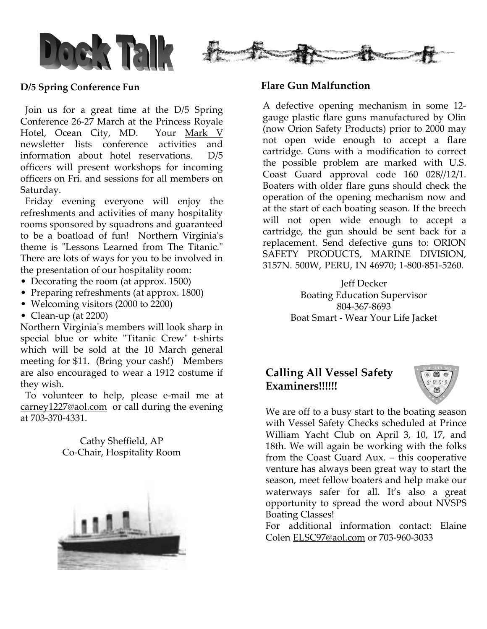

#### **D/5 Spring Conference Fun**

Join us for a great time at the D/5 Spring Conference 26-27 March at the Princess Royale Hotel, Ocean City, MD. Your Mark V newsletter lists conference activities and information about hotel reservations. D/5 officers will present workshops for incoming officers on Fri. and sessions for all members on Saturday.

Friday evening everyone will enjoy the refreshments and activities of many hospitality rooms sponsored by squadrons and guaranteed to be a boatload of fun! Northern Virginia's theme is "Lessons Learned from The Titanic." There are lots of ways for you to be involved in the presentation of our hospitality room:

- Decorating the room (at approx. 1500)
- Preparing refreshments (at approx. 1800)
- Welcoming visitors (2000 to 2200)
- Clean-up (at 2200)

Northern Virginia's members will look sharp in special blue or white "Titanic Crew" t-shirts which will be sold at the 10 March general meeting for \$11. (Bring your cash!) Members are also encouraged to wear a 1912 costume if they wish.

To volunteer to help, please e-mail me at carney1227@aol.com or call during the evening at 703-370-4331.

> Cathy Sheffield, AP Co-Chair, Hospitality Room



#### **Flare Gun Malfunction**

A defective opening mechanism in some 12 gauge plastic flare guns manufactured by Olin (now Orion Safety Products) prior to 2000 may not open wide enough to accept a flare cartridge. Guns with a modification to correct the possible problem are marked with U.S. Coast Guard approval code 160 028//12/1. Boaters with older flare guns should check the operation of the opening mechanism now and at the start of each boating season. If the breech will not open wide enough to accept a cartridge, the gun should be sent back for a replacement. Send defective guns to: ORION SAFETY PRODUCTS, MARINE DIVISION, 3157N. 500W, PERU, IN 46970; 1-800-851-5260.

> Jeff Decker Boating Education Supervisor 804-367-8693 Boat Smart - Wear Your Life Jacket

#### **Calling All Vessel Safety Examiners!!!!!!**



We are off to a busy start to the boating season with Vessel Safety Checks scheduled at Prince William Yacht Club on April 3, 10, 17, and 18th. We will again be working with the folks from the Coast Guard Aux. – this cooperative venture has always been great way to start the season, meet fellow boaters and help make our waterways safer for all. It's also a great opportunity to spread the word about NVSPS Boating Classes!

For additional information contact: Elaine Colen ELSC97@aol.com or 703-960-3033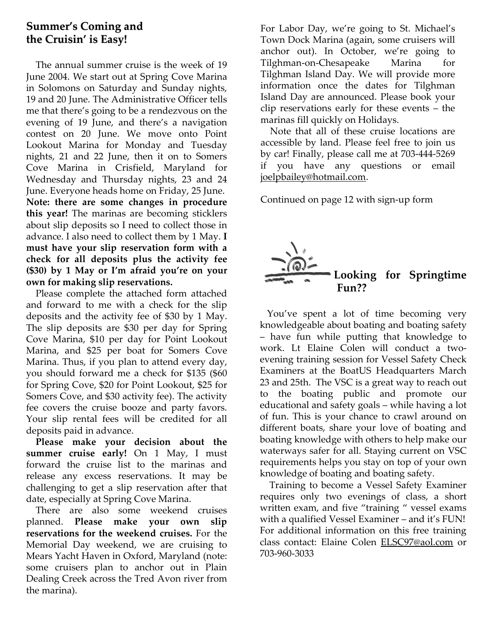#### **Summer's Coming and the Cruisin' is Easy! is Easy!**

The annual summer cruise is the week of 19 June 2004. We start out at Spring Cove Marina in Solomons on Saturday and Sunday nights, 19 and 20 June. The Administrative Officer tells me that there's going to be a rendezvous on the evening of 19 June, and there's a navigation contest on 20 June. We move onto Point Lookout Marina for Monday and Tuesday nights, 21 and 22 June, then it on to Somers Cove Marina in Crisfield, Maryland for Wednesday and Thursday nights, 23 and 24 June. Everyone heads home on Friday, 25 June. **Note: there are some changes in procedure this year!** The marinas are becoming sticklers about slip deposits so I need to collect those in advance. I also need to collect them by 1 May. **I must have your slip reservation form with a check for all deposits plus the activity fee (\$30) by 1 May or I'm afraid you're on your own for making slip reservations.** 

Please complete the attached form attached and forward to me with a check for the slip deposits and the activity fee of \$30 by 1 May. The slip deposits are \$30 per day for Spring Cove Marina, \$10 per day for Point Lookout Marina, and \$25 per boat for Somers Cove Marina. Thus, if you plan to attend every day, you should forward me a check for \$135 (\$60 for Spring Cove, \$20 for Point Lookout, \$25 for Somers Cove, and \$30 activity fee). The activity fee covers the cruise booze and party favors. Your slip rental fees will be credited for all deposits paid in advance.

**Please make your decision about the**  summer cruise early! On 1 May, I must forward the cruise list to the marinas and release any excess reservations. It may be challenging to get a slip reservation after that date, especially at Spring Cove Marina.

There are also some weekend cruises planned. **Please make your own slip reservations for the weekend cruises.** For the Memorial Day weekend, we are cruising to Mears Yacht Haven in Oxford, Maryland (note: some cruisers plan to anchor out in Plain Dealing Creek across the Tred Avon river from the marina).

For Labor Day, we're going to St. Michael's Town Dock Marina (again, some cruisers will anchor out). In October, we're going to Tilghman-on-Chesapeake Marina for Tilghman Island Day. We will provide more information once the dates for Tilghman Island Day are announced. Please book your clip reservations early for these events – the marinas fill quickly on Holidays.

Note that all of these cruise locations are accessible by land. Please feel free to join us by car! Finally, please call me at 703-444-5269 if you have any questions or email joelpbailey@hotmail.com.

Continued on page 12 with sign-up form



You've spent a lot of time becoming very knowledgeable about boating and boating safety – have fun while putting that knowledge to work. Lt Elaine Colen will conduct a twoevening training session for Vessel Safety Check Examiners at the BoatUS Headquarters March 23 and 25th. The VSC is a great way to reach out to the boating public and promote our educational and safety goals – while having a lot of fun. This is your chance to crawl around on different boats, share your love of boating and boating knowledge with others to help make our waterways safer for all. Staying current on VSC requirements helps you stay on top of your own knowledge of boating and boating safety.

Training to become a Vessel Safety Examiner requires only two evenings of class, a short written exam, and five "training " vessel exams with a qualified Vessel Examiner – and it's FUN! For additional information on this free training class contact: Elaine Colen ELSC97@aol.com or 703-960-3033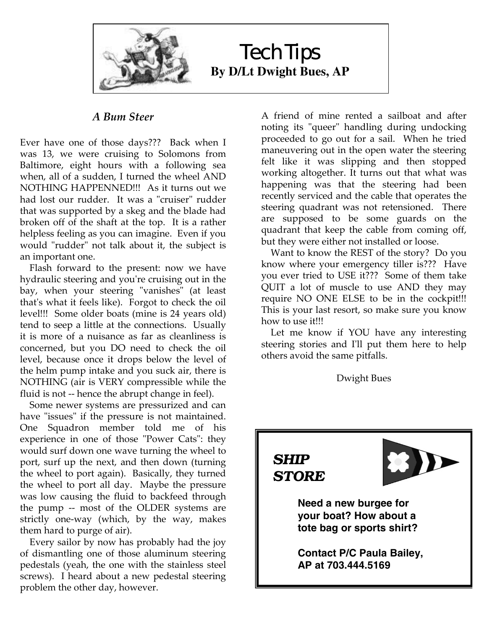

### Tech Tips **By D/Lt Dwight Bues, AP**

#### *A Bum Steer*

Ever have one of those days??? Back when I was 13, we were cruising to Solomons from Baltimore, eight hours with a following sea when, all of a sudden, I turned the wheel AND NOTHING HAPPENNED!!! As it turns out we had lost our rudder. It was a "cruiser" rudder that was supported by a skeg and the blade had broken off of the shaft at the top. It is a rather helpless feeling as you can imagine. Even if you would "rudder" not talk about it, the subject is an important one.

Flash forward to the present: now we have hydraulic steering and you're cruising out in the bay, when your steering "vanishes" (at least that's what it feels like). Forgot to check the oil level!!! Some older boats (mine is 24 years old) tend to seep a little at the connections. Usually it is more of a nuisance as far as cleanliness is concerned, but you DO need to check the oil level, because once it drops below the level of the helm pump intake and you suck air, there is NOTHING (air is VERY compressible while the fluid is not -- hence the abrupt change in feel).

Some newer systems are pressurized and can have "issues" if the pressure is not maintained. One Squadron member told me of his experience in one of those "Power Cats": they would surf down one wave turning the wheel to port, surf up the next, and then down (turning the wheel to port again). Basically, they turned the wheel to port all day. Maybe the pressure was low causing the fluid to backfeed through the pump -- most of the OLDER systems are strictly one-way (which, by the way, makes them hard to purge of air).

Every sailor by now has probably had the joy of dismantling one of those aluminum steering pedestals (yeah, the one with the stainless steel screws). I heard about a new pedestal steering problem the other day, however.

A friend of mine rented a sailboat and after noting its "queer" handling during undocking proceeded to go out for a sail. When he tried maneuvering out in the open water the steering felt like it was slipping and then stopped working altogether. It turns out that what was happening was that the steering had been recently serviced and the cable that operates the steering quadrant was not retensioned. There are supposed to be some guards on the quadrant that keep the cable from coming off, but they were either not installed or loose.

Want to know the REST of the story? Do you know where your emergency tiller is??? Have you ever tried to USE it??? Some of them take QUIT a lot of muscle to use AND they may require NO ONE ELSE to be in the cockpit!!! This is your last resort, so make sure you know how to use it!!!

Let me know if YOU have any interesting steering stories and I'll put them here to help others avoid the same pitfalls.

Dwight Bues

### *SHIP STORE*



**Need a new burgee for your boat? How about a tote bag or sports shirt?** 

**Contact P/C Paula Bailey, AP at 703.444.5169**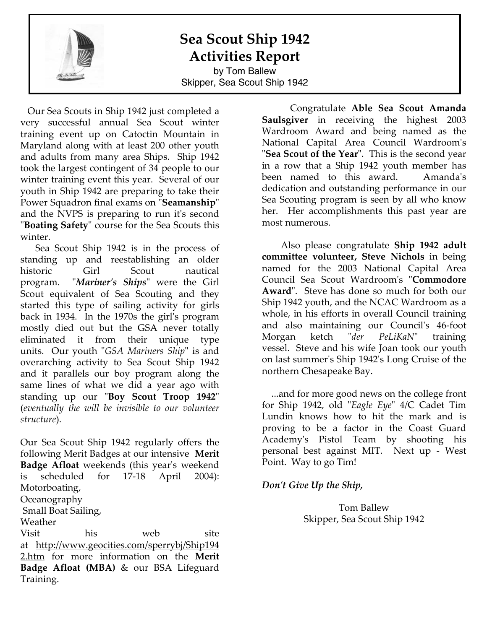

### **Sea Scout Ship 1942 Activities Report**

by Tom Ballew Skipper, Sea Scout Ship 1942

Our Sea Scouts in Ship 1942 just completed a very successful annual Sea Scout winter training event up on Catoctin Mountain in Maryland along with at least 200 other youth and adults from many area Ships. Ship 1942 took the largest contingent of 34 people to our winter training event this year. Several of our youth in Ship 1942 are preparing to take their Power Squadron final exams on "**Seamanship**" and the NVPS is preparing to run it's second "**Boating Safety**" course for the Sea Scouts this winter.

Sea Scout Ship 1942 is in the process of standing up and reestablishing an older historic Girl Scout nautical program. "*Mariner's Ships*" were the Girl Scout equivalent of Sea Scouting and they started this type of sailing activity for girls back in 1934. In the 1970s the girl's program mostly died out but the GSA never totally eliminated it from their unique type units. Our youth "*GSA Mariners Ship*" is and overarching activity to Sea Scout Ship 1942 and it parallels our boy program along the same lines of what we did a year ago with standing up our "**Boy Scout Troop 1942**" (*eventually the will be invisible to our volunteer structure*).

Our Sea Scout Ship 1942 regularly offers the following Merit Badges at our intensive **Merit Badge Afloat** weekends (this year's weekend is scheduled for 17-18 April 2004): Motorboating,

**Oceanography** 

Small Boat Sailing,

Weather Visit his web site at http://www.geocities.com/sperrybj/Ship194 2.htm for more information on the **Merit Badge Afloat (MBA)** & our BSA Lifeguard Training.

Congratulate **Able Sea Scout Amanda Saulsgiver** in receiving the highest 2003 Wardroom Award and being named as the National Capital Area Council Wardroom's "**Sea Scout of the Year**". This is the second year in a row that a Ship 1942 youth member has been named to this award. Amanda's dedication and outstanding performance in our Sea Scouting program is seen by all who know her. Her accomplishments this past year are most numerous.

Also please congratulate **Ship 1942 adult committee volunteer, Steve Nichols** in being named for the 2003 National Capital Area Council Sea Scout Wardroom's "**Commodore Award**". Steve has done so much for both our Ship 1942 youth, and the NCAC Wardroom as a whole, in his efforts in overall Council training and also maintaining our Council's 46-foot Morgan ketch "*der PeLiKaN*" training vessel. Steve and his wife Joan took our youth on last summer's Ship 1942's Long Cruise of the northern Chesapeake Bay.

...and for more good news on the college front for Ship 1942, old "*Eagle Eye*" 4/C Cadet Tim Lundin knows how to hit the mark and is proving to be a factor in the Coast Guard Academy's Pistol Team by shooting his personal best against MIT. Next up - West Point. Way to go Tim!

#### *Don't Give Up the Ship,*

Tom Ballew Skipper, Sea Scout Ship 1942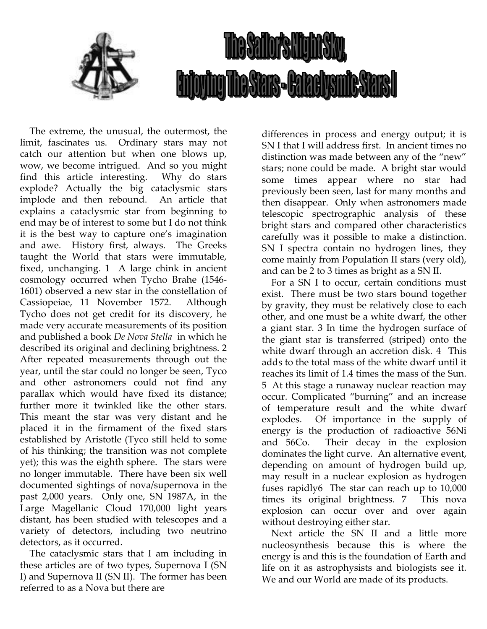

The extreme, the unusual, the outermost, the limit, fascinates us. Ordinary stars may not catch our attention but when one blows up, wow, we become intrigued. And so you might find this article interesting. Why do stars explode? Actually the big cataclysmic stars implode and then rebound. An article that explains a cataclysmic star from beginning to end may be of interest to some but I do not think it is the best way to capture one's imagination and awe. History first, always. The Greeks taught the World that stars were immutable, fixed, unchanging. 1 A large chink in ancient cosmology occurred when Tycho Brahe (1546- 1601) observed a new star in the constellation of Cassiopeiae, 11 November 1572. Although Tycho does not get credit for its discovery, he made very accurate measurements of its position and published a book *De Nova Stella* in which he described its original and declining brightness. 2 After repeated measurements through out the year, until the star could no longer be seen, Tyco and other astronomers could not find any parallax which would have fixed its distance; further more it twinkled like the other stars. This meant the star was very distant and he placed it in the firmament of the fixed stars established by Aristotle (Tyco still held to some of his thinking; the transition was not complete yet); this was the eighth sphere. The stars were no longer immutable. There have been six well documented sightings of nova/supernova in the past 2,000 years. Only one, SN 1987A, in the Large Magellanic Cloud 170,000 light years distant, has been studied with telescopes and a variety of detectors, including two neutrino detectors, as it occurred.

The cataclysmic stars that I am including in these articles are of two types, Supernova I (SN I) and Supernova II (SN II). The former has been referred to as a Nova but there are

differences in process and energy output; it is SN I that I will address first. In ancient times no distinction was made between any of the "new" stars; none could be made. A bright star would some times appear where no star had previously been seen, last for many months and then disappear. Only when astronomers made telescopic spectrographic analysis of these bright stars and compared other characteristics carefully was it possible to make a distinction. SN I spectra contain no hydrogen lines, they come mainly from Population II stars (very old), and can be 2 to 3 times as bright as a SN II.

For a SN I to occur, certain conditions must exist. There must be two stars bound together by gravity, they must be relatively close to each other, and one must be a white dwarf, the other a giant star. 3 In time the hydrogen surface of the giant star is transferred (striped) onto the white dwarf through an accretion disk. 4 This adds to the total mass of the white dwarf until it reaches its limit of 1.4 times the mass of the Sun. 5 At this stage a runaway nuclear reaction may occur. Complicated "burning" and an increase of temperature result and the white dwarf explodes. Of importance in the supply of energy is the production of radioactive 56Ni and 56Co. Their decay in the explosion dominates the light curve. An alternative event, depending on amount of hydrogen build up, may result in a nuclear explosion as hydrogen fuses rapidly6 The star can reach up to 10,000 times its original brightness. 7 This nova explosion can occur over and over again without destroying either star.

Next article the SN II and a little more nucleosynthesis because this is where the energy is and this is the foundation of Earth and life on it as astrophysists and biologists see it. We and our World are made of its products.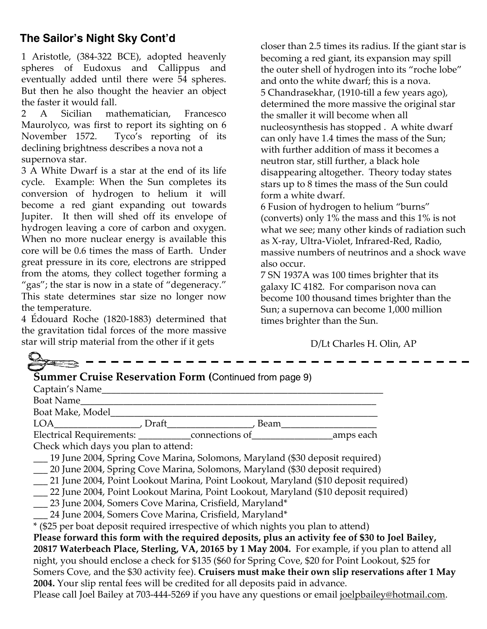1 Aristotle, (384-322 BCE), adopted heavenly spheres of Eudoxus and Callippus and eventually added until there were 54 spheres. But then he also thought the heavier an object the faster it would fall.

2 A Sicilian mathematician, Francesco Maurolyco, was first to report its sighting on 6 November 1572. Tyco's reporting of its declining brightness describes a nova not a supernova star.

3 A White Dwarf is a star at the end of its life cycle. Example: When the Sun completes its conversion of hydrogen to helium it will become a red giant expanding out towards Jupiter. It then will shed off its envelope of hydrogen leaving a core of carbon and oxygen. When no more nuclear energy is available this core will be 0.6 times the mass of Earth. Under great pressure in its core, electrons are stripped from the atoms, they collect together forming a "gas"; the star is now in a state of "degeneracy." This state determines star size no longer now the temperature.

4 Édouard Roche (1820-1883) determined that the gravitation tidal forces of the more massive star will strip material from the other if it gets

**The Sailor's Night Sky Cont'd**<br>closer than 2.5 times its radius. If the giant star is becoming a red giant, its expansion may spill the outer shell of hydrogen into its "roche lobe" and onto the white dwarf; this is a nova. 5 Chandrasekhar, (1910-till a few years ago), determined the more massive the original star the smaller it will become when all nucleosynthesis has stopped . A white dwarf can only have 1.4 times the mass of the Sun; with further addition of mass it becomes a neutron star, still further, a black hole disappearing altogether. Theory today states stars up to 8 times the mass of the Sun could form a white dwarf.

6 Fusion of hydrogen to helium "burns" (converts) only 1% the mass and this 1% is not what we see; many other kinds of radiation such as X-ray, Ultra-Violet, Infrared-Red, Radio, massive numbers of neutrinos and a shock wave also occur.

7 SN 1937A was 100 times brighter that its galaxy IC 4182. For comparison nova can become 100 thousand times brighter than the Sun; a supernova can become 1,000 million times brighter than the Sun.

D/Lt Charles H. Olin, AP

| <b>Summer Cruise Reservation Form (Continued from page 9)</b>                                                                                                                                                                 |                                                                                    |                                                                                     |                                                                                                     |  |  |  |  |
|-------------------------------------------------------------------------------------------------------------------------------------------------------------------------------------------------------------------------------|------------------------------------------------------------------------------------|-------------------------------------------------------------------------------------|-----------------------------------------------------------------------------------------------------|--|--|--|--|
|                                                                                                                                                                                                                               |                                                                                    |                                                                                     |                                                                                                     |  |  |  |  |
| Captain's Name                                                                                                                                                                                                                |                                                                                    |                                                                                     |                                                                                                     |  |  |  |  |
| Boat Name and the state of the state of the state of the state of the state of the state of the state of the state of the state of the state of the state of the state of the state of the state of the state of the state of |                                                                                    |                                                                                     |                                                                                                     |  |  |  |  |
| Boat Make, Model                                                                                                                                                                                                              |                                                                                    |                                                                                     |                                                                                                     |  |  |  |  |
|                                                                                                                                                                                                                               |                                                                                    |                                                                                     |                                                                                                     |  |  |  |  |
|                                                                                                                                                                                                                               |                                                                                    | Electrical Requirements: ______________connections of ____________________amps each |                                                                                                     |  |  |  |  |
| Check which days you plan to attend:                                                                                                                                                                                          |                                                                                    |                                                                                     |                                                                                                     |  |  |  |  |
| __ 19 June 2004, Spring Cove Marina, Solomons, Maryland (\$30 deposit required)                                                                                                                                               |                                                                                    |                                                                                     |                                                                                                     |  |  |  |  |
| 20 June 2004, Spring Cove Marina, Solomons, Maryland (\$30 deposit required)                                                                                                                                                  |                                                                                    |                                                                                     |                                                                                                     |  |  |  |  |
| 21 June 2004, Point Lookout Marina, Point Lookout, Maryland (\$10 deposit required)                                                                                                                                           |                                                                                    |                                                                                     |                                                                                                     |  |  |  |  |
| 22 June 2004, Point Lookout Marina, Point Lookout, Maryland (\$10 deposit required)                                                                                                                                           |                                                                                    |                                                                                     |                                                                                                     |  |  |  |  |
| 23 June 2004, Somers Cove Marina, Crisfield, Maryland*                                                                                                                                                                        |                                                                                    |                                                                                     |                                                                                                     |  |  |  |  |
| 24 June 2004, Somers Cove Marina, Crisfield, Maryland*                                                                                                                                                                        |                                                                                    |                                                                                     |                                                                                                     |  |  |  |  |
|                                                                                                                                                                                                                               | * (\$25 per boat deposit required irrespective of which nights you plan to attend) |                                                                                     |                                                                                                     |  |  |  |  |
| Please forward this form with the required deposits, plus an activity fee of \$30 to Joel Bailey,                                                                                                                             |                                                                                    |                                                                                     |                                                                                                     |  |  |  |  |
| 20817 Waterbeach Place, Sterling, VA, 20165 by 1 May 2004. For example, if you plan to attend all                                                                                                                             |                                                                                    |                                                                                     |                                                                                                     |  |  |  |  |
|                                                                                                                                                                                                                               |                                                                                    |                                                                                     | night, you should enclose a check for \$135 (\$60 for Spring Cove, \$20 for Point Lookout, \$25 for |  |  |  |  |
| Somers Cove, and the \$30 activity fee). Cruisers must make their own slip reservations after 1 May                                                                                                                           |                                                                                    |                                                                                     |                                                                                                     |  |  |  |  |
| 2004. Your slip rental fees will be credited for all deposits paid in advance.                                                                                                                                                |                                                                                    |                                                                                     |                                                                                                     |  |  |  |  |
| Please call Joel Bailey at 703-444-5269 if you have any questions or email joelpbailey@hotmail.com.                                                                                                                           |                                                                                    |                                                                                     |                                                                                                     |  |  |  |  |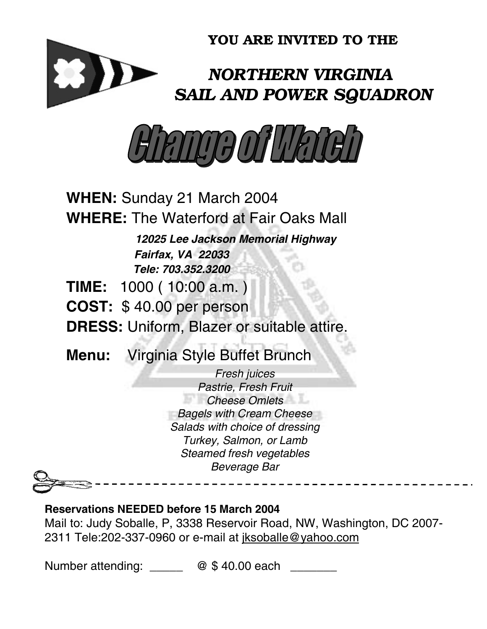**YOU ARE INVITED TO THE**

## *NORTHERN VIRGINIA SAIL AND POWER SQUADRON*



**WHEN:** Sunday 21 March 2004 **WHERE:** The Waterford at Fair Oaks Mall *12025 Lee Jackson Memorial Highway Fairfax, VA 22033 Tele: 703.352.3200* **TIME:** 1000 ( 10:00 a.m. ) **COST:** \$ 40.00 per person **DRESS:** Uniform, Blazer or suitable attire. **Menu:** Virginia Style Buffet Brunch *Fresh juices Pastrie, Fresh Fruit Cheese Omlets Bagels with Cream Cheese Salads with choice of dressing Turkey, Salmon, or Lamb*

*Steamed fresh vegetables Beverage Bar*

--------------

### **Reservations NEEDED before 15 March 2004**

Mail to: Judy Soballe, P, 3338 Reservoir Road, NW, Washington, DC 2007- 2311 Tele:202-337-0960 or e-mail at jksoballe@yahoo.com

Number attending: \_\_\_\_\_ @ \$40.00 each \_\_\_\_\_